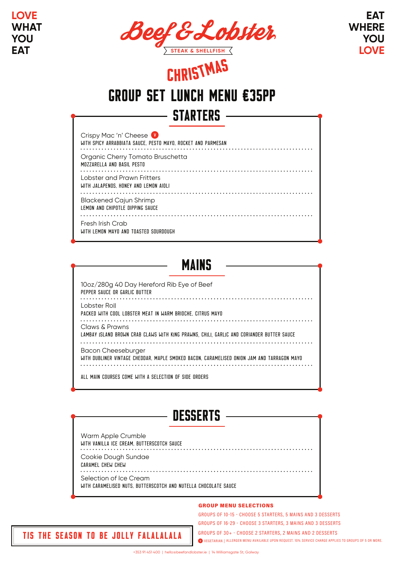

**EAT WHERE YOU LOVE**

# STARTERS group set lunch menu €35pp <sup>c</sup>hristma<sup>s</sup>

| Crispy Mac 'n' Cheese<br>WITH SPICY ARRABBIATA SAUCE, PESTO MAYO, ROCKET AND PARMESAN |
|---------------------------------------------------------------------------------------|
| Organic Cherry Tomato Bruschetta<br>MOZZARELLA AND BASIL PESTO                        |
| Lobster and Prawn Fritters<br>WITH JALAPENOS. HONEY AND LEMON AIOLI                   |
| <b>Blackened Cajun Shrimp</b><br>LEMON AND CHIPOTLE DIPPING SAUCE                     |
| Fresh Irish Crab<br>WITH LEMON MAYO AND TOASTED SOURDOUGH                             |

### **MAINS** 10oz/280g 40 Day Hereford Rib Eye of Beef PEPPER SAUCE OR GARLIC BUTTER Lobster Roll PACKED WITH COOL LOBSTER MEAT IN WARM BRIOCHE, CITRUS MAYO Claws & Prawns LAMBAY ISLAND BROWN CRAB CLAWS WITH KING PRAWNS, CHILI, GARLIC AND CORIANDER BUTTER SAUCE Bacon Cheeseburger WITH DUBLINER VINTAGE CHEDDAR, MAPLE SMOKED BACON, CARAMELISED ONION JAM AND TARRAGON MAYO ALL MAIN COURSES COME WITH A SELECTION OF SIDE ORDERS

| <b>DESSERTS</b>                                                                           |  |
|-------------------------------------------------------------------------------------------|--|
| Warm Apple Crumble<br>WITH VANILLA ICE CREAM, BUTTERSCOTCH SAUCE                          |  |
| Cookie Dough Sundae<br>CARAMEL CHEW CHEW                                                  |  |
| Selection of Ice Cream<br>WITH CARAMELISED NUTS. BUTTERSCOTCH AND NUTELLA CHOCOLATE SAUCE |  |

#### **GROUP MENU SELECTIONS**

WEGETARIAN | ALLERGEN MENU AVAILABLE UPON REQUEST. 10% SERVICE CHARGE APPLIES TO GROUPS OF 5 OR MORE. GROUPS OF 10-15 - CHOOSE 5 STARTERS, 5 MAINS AND 3 DESSERTS GROUPS OF 16-29 - CHOOSE 3 STARTERS, 3 MAINS AND 3 DESSERTS GROUPS OF 30+ - CHOOSE 2 STARTERS, 2 MAINS AND 2 DESSERTS

TIS THE SEASON TO BE JOLLY FALALALALA